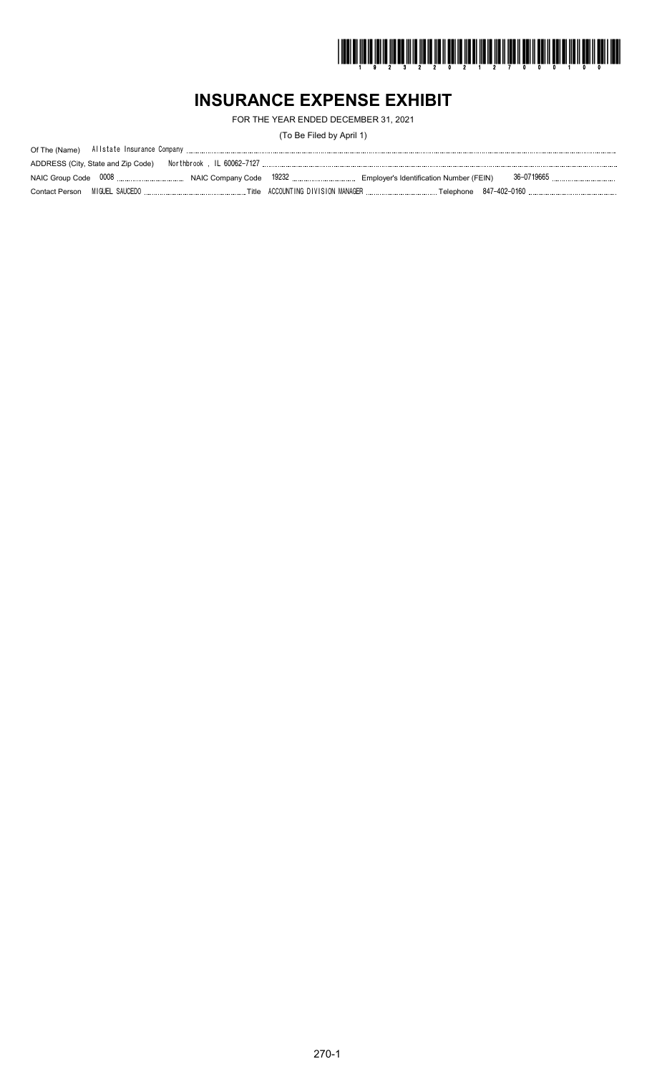

# **INSURANCE EXPENSE EXHIBIT**

FOR THE YEAR ENDED DECEMBER 31, 2021

(To Be Filed by April 1)

| ADDRESS (City, State and Zip Code) |  |  |
|------------------------------------|--|--|
|                                    |  |  |
|                                    |  |  |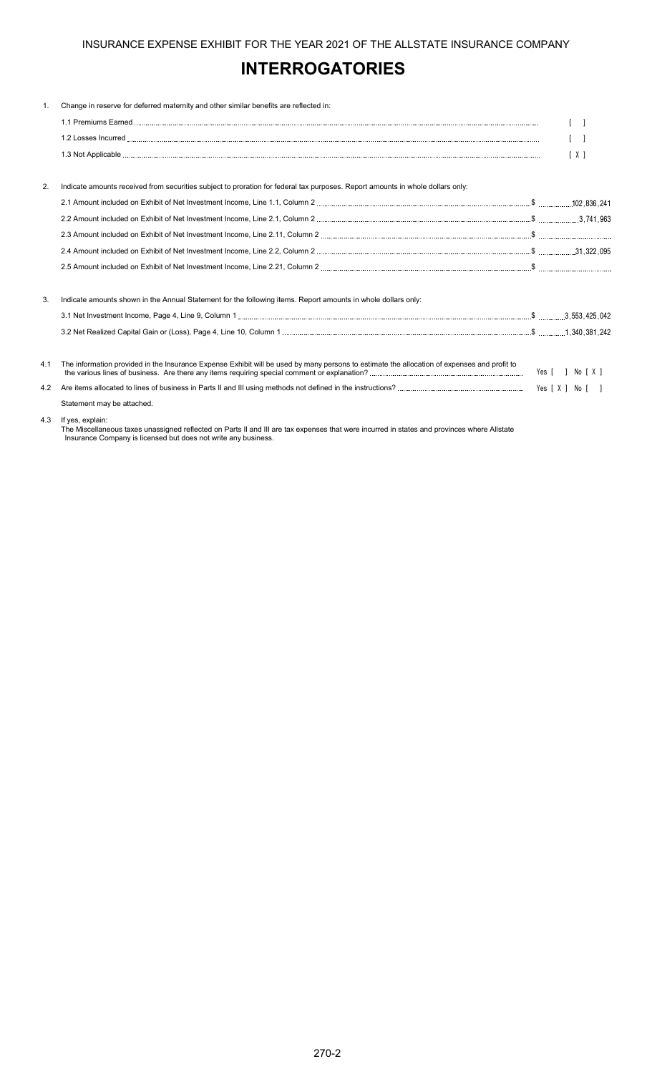# **INTERROGATORIES**

| 1.  | Change in reserve for deferred maternity and other similar benefits are reflected in:                                                       |                |
|-----|---------------------------------------------------------------------------------------------------------------------------------------------|----------------|
|     |                                                                                                                                             |                |
|     |                                                                                                                                             |                |
|     |                                                                                                                                             | X <sub>1</sub> |
|     |                                                                                                                                             |                |
| 2.  | Indicate amounts received from securities subject to proration for federal tax purposes. Report amounts in whole dollars only:              |                |
|     |                                                                                                                                             |                |
|     |                                                                                                                                             |                |
|     |                                                                                                                                             |                |
|     |                                                                                                                                             |                |
|     |                                                                                                                                             |                |
| 3.  | Indicate amounts shown in the Annual Statement for the following items. Report amounts in whole dollars only:                               |                |
|     |                                                                                                                                             |                |
|     |                                                                                                                                             |                |
|     |                                                                                                                                             |                |
| 4.1 | The information provided in the Insurance Expense Exhibit will be used by many persons to estimate the allocation of expenses and profit to |                |
| 4.2 |                                                                                                                                             |                |
|     | Statement may be attached.                                                                                                                  |                |
|     |                                                                                                                                             |                |

4.3 If yes, explain:

The Miscellaneous taxes unassigned reflected on Parts II and III are tax expenses that were incurred in states and provinces where Allstate Insurance Company is licensed but does not write any business.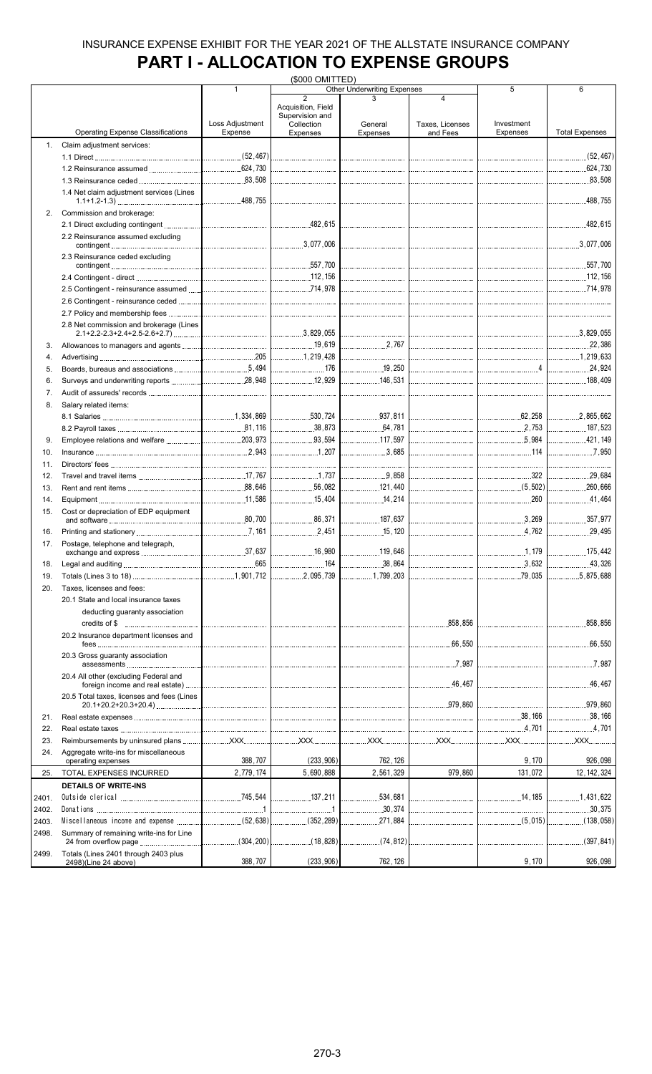# **PART I - ALLOCATION TO EXPENSE GROUPS**

|       |                                            |                 | (\$000 OMITTED)                                                                          |                                    |                 |                     |                       |
|-------|--------------------------------------------|-----------------|------------------------------------------------------------------------------------------|------------------------------------|-----------------|---------------------|-----------------------|
|       |                                            | 1               |                                                                                          | <b>Other Underwriting Expenses</b> |                 | 5                   | 6                     |
|       |                                            |                 | $\overline{2}$<br>Acquisition, Field                                                     |                                    | 4               |                     |                       |
|       |                                            |                 | Supervision and                                                                          |                                    |                 |                     |                       |
|       |                                            | Loss Adjustment | Collection                                                                               | General                            | Taxes, Licenses | Investment          |                       |
|       | <b>Operating Expense Classifications</b>   | Expense         | <b>Expenses</b>                                                                          | Expenses                           | and Fees        | Expenses            | <b>Total Expenses</b> |
| 1.    | Claim adjustment services:                 |                 |                                                                                          |                                    |                 |                     |                       |
|       |                                            |                 |                                                                                          |                                    |                 |                     |                       |
|       |                                            |                 |                                                                                          |                                    |                 |                     |                       |
|       |                                            |                 |                                                                                          |                                    |                 |                     |                       |
|       |                                            |                 |                                                                                          |                                    |                 |                     | 83,508                |
|       | 1.4 Net claim adjustment services (Lines   |                 |                                                                                          |                                    |                 |                     |                       |
|       |                                            |                 |                                                                                          |                                    |                 |                     |                       |
| 2.    | Commission and brokerage:                  |                 |                                                                                          |                                    |                 |                     |                       |
|       |                                            |                 |                                                                                          |                                    |                 |                     |                       |
|       | 2.2 Reinsurance assumed excluding          |                 |                                                                                          |                                    |                 |                     |                       |
|       |                                            |                 |                                                                                          |                                    |                 |                     |                       |
|       | 2.3 Reinsurance ceded excluding            |                 |                                                                                          |                                    |                 |                     |                       |
|       |                                            |                 |                                                                                          |                                    |                 |                     |                       |
|       |                                            |                 |                                                                                          |                                    |                 |                     |                       |
|       |                                            |                 |                                                                                          |                                    |                 |                     |                       |
|       |                                            |                 |                                                                                          |                                    |                 |                     |                       |
|       |                                            |                 |                                                                                          |                                    |                 |                     |                       |
|       |                                            |                 |                                                                                          |                                    |                 |                     |                       |
|       | 2.8 Net commission and brokerage (Lines    |                 |                                                                                          |                                    |                 |                     |                       |
|       |                                            |                 |                                                                                          |                                    |                 |                     |                       |
| 3.    |                                            |                 |                                                                                          |                                    |                 |                     |                       |
| 4.    |                                            |                 |                                                                                          |                                    |                 |                     | L1.219.633            |
|       |                                            |                 |                                                                                          |                                    |                 |                     |                       |
| 5.    |                                            |                 | 176                                                                                      | 19,250                             |                 | $\overline{4}$      |                       |
| 6.    |                                            |                 |                                                                                          |                                    |                 |                     |                       |
| 7.    |                                            |                 |                                                                                          |                                    |                 |                     |                       |
| 8.    | Salary related items:                      |                 |                                                                                          |                                    |                 |                     |                       |
|       |                                            |                 |                                                                                          |                                    |                 |                     |                       |
|       |                                            |                 |                                                                                          |                                    |                 |                     |                       |
|       |                                            |                 |                                                                                          |                                    |                 |                     |                       |
| 9.    |                                            |                 | 93,594                                                                                   | 117,597                            |                 | $\frac{1}{2}$ 5.984 | 421,149               |
| 10.   |                                            |                 | $\begin{array}{c} \begin{array}{c} \begin{array}{c} \end{array} \end{array} \end{array}$ | $\ldots$ 3,685                     |                 | 114                 |                       |
| 11.   |                                            |                 |                                                                                          |                                    |                 |                     |                       |
|       |                                            |                 |                                                                                          |                                    |                 |                     |                       |
| 12.   |                                            |                 |                                                                                          | 9,858                              |                 |                     | 29,684                |
| 13.   |                                            |                 | 56,082                                                                                   | 121,440                            |                 |                     | 260.666               |
| 14.   |                                            |                 |                                                                                          | 14,214                             |                 | $\frac{1}{260}$     | .41,464<br>.          |
| 15.   | Cost or depreciation of EDP equipment      |                 |                                                                                          |                                    |                 |                     |                       |
|       |                                            |                 |                                                                                          |                                    |                 |                     | 357,977               |
| 16.   |                                            |                 |                                                                                          | 15, 120                            |                 | $\frac{1}{2}$ 4,762 | .29.495<br>.          |
| 17.   | Postage, telephone and telegraph,          |                 |                                                                                          |                                    |                 |                     |                       |
|       |                                            |                 |                                                                                          |                                    |                 |                     | 175,442               |
|       |                                            | .665            |                                                                                          | .38,864                            |                 |                     | .43,326               |
| 18.   |                                            |                 |                                                                                          | .                                  |                 |                     |                       |
| 19.   |                                            |                 | .2.095.739                                                                               | 1,799,203                          |                 | 79,035              | 5,875,688             |
| 20.   | Taxes. licenses and fees:                  |                 |                                                                                          |                                    |                 |                     |                       |
|       | 20.1 State and local insurance taxes       |                 |                                                                                          |                                    |                 |                     |                       |
|       | deducting guaranty association             |                 |                                                                                          |                                    |                 |                     |                       |
|       |                                            |                 |                                                                                          |                                    |                 |                     |                       |
|       |                                            |                 |                                                                                          |                                    | .858,856        |                     | .858,856<br>.         |
|       | 20.2 Insurance department licenses and     |                 |                                                                                          |                                    |                 |                     |                       |
|       |                                            |                 |                                                                                          |                                    | .66,550<br>.    |                     | .66,550<br>.          |
|       | 20.3 Gross guaranty association            |                 |                                                                                          |                                    |                 |                     |                       |
|       |                                            |                 |                                                                                          |                                    |                 |                     |                       |
|       | 20.4 All other (excluding Federal and      |                 |                                                                                          |                                    |                 |                     |                       |
|       |                                            |                 |                                                                                          |                                    |                 |                     |                       |
|       | 20.5 Total taxes, licenses and fees (Lines |                 |                                                                                          |                                    |                 |                     |                       |
|       |                                            |                 |                                                                                          |                                    |                 |                     | 1979,860              |
| 21.   |                                            |                 |                                                                                          |                                    |                 |                     | 38,166                |
| 22.   |                                            |                 |                                                                                          |                                    |                 |                     |                       |
|       |                                            |                 |                                                                                          |                                    |                 |                     |                       |
| 23.   |                                            |                 |                                                                                          |                                    |                 |                     |                       |
| 24.   | Aggregate write-ins for miscellaneous      | 388,707         | (233, 906)                                                                               | 762, 126                           |                 | 9,170               | 926,098               |
|       | operating expenses                         |                 |                                                                                          |                                    |                 |                     |                       |
| 25.   | TOTAL EXPENSES INCURRED                    | 2,779,174       | 5,690,888                                                                                | 2,561,329                          | 979,860         | 131,072             | 12, 142, 324          |
|       | <b>DETAILS OF WRITE-INS</b>                |                 |                                                                                          |                                    |                 |                     |                       |
| 2401. |                                            |                 | 137,211                                                                                  | .534,681<br>.                      |                 |                     | 1,431,622             |
| 2402. |                                            |                 |                                                                                          | $\ldots$ 30,374                    |                 |                     | 30,375                |
|       |                                            |                 |                                                                                          |                                    |                 |                     |                       |
| 2403. |                                            |                 |                                                                                          | 271,884                            |                 |                     | (138,058)             |
| 2498. | Summary of remaining write-ins for Line    |                 |                                                                                          |                                    |                 |                     |                       |
|       |                                            | (304, 200)      | $\ldots$ (18,828)                                                                        | (74, 812)<br>.                     |                 | <br>                | (397, 841)<br>.       |
| 2499. | Totals (Lines 2401 through 2403 plus       |                 |                                                                                          |                                    |                 |                     |                       |
|       | 2498)(Line 24 above)                       | 388,707         | (233, 906)                                                                               | 762, 126                           |                 | 9,170               | 926,098               |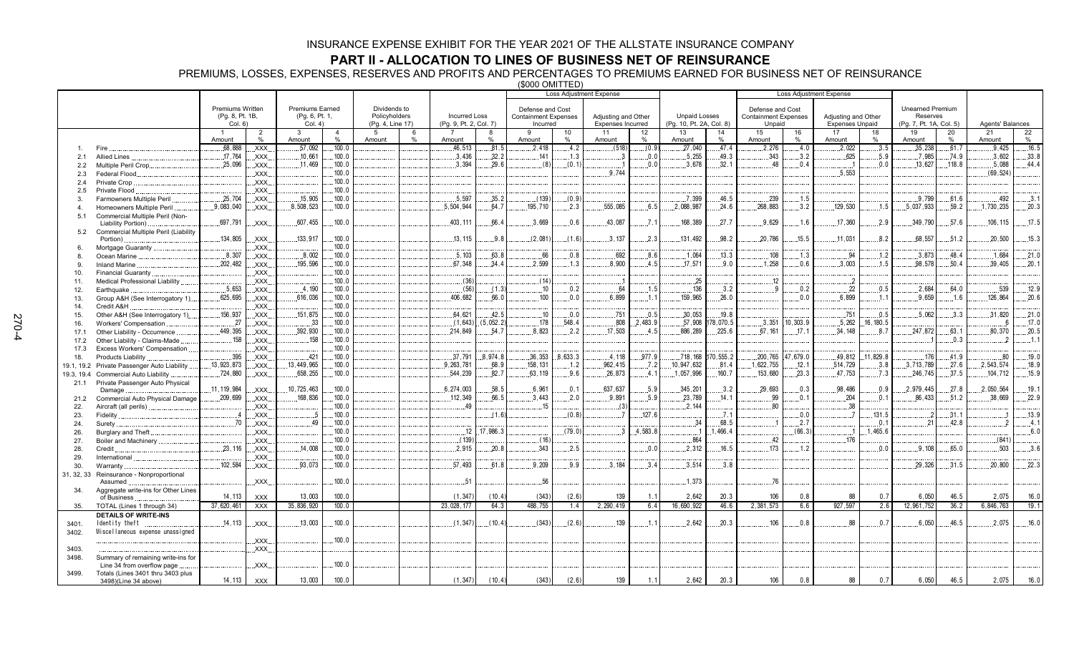## **PART II - ALLOCATION TO LINES OF BUSINESS NET OF REINSURANCE**

PREMIUMS, LOSSES, EXPENSES, RESERVES AND PROFITS AND PERCENTAGES TO PREMIUMS EARNED FOR BUSINESS NET OF REINSURANCE (\$000 OMITTED)

|                |                                                    |                            |                |                           |                |                                   |     |                                                |               |                                         | Loss Adjustment Expense |                                          |         |                                                  |           |                                       |          | <b>Loss Adjustment Expense</b>                |                  |                                     |        |                  |       |
|----------------|----------------------------------------------------|----------------------------|----------------|---------------------------|----------------|-----------------------------------|-----|------------------------------------------------|---------------|-----------------------------------------|-------------------------|------------------------------------------|---------|--------------------------------------------------|-----------|---------------------------------------|----------|-----------------------------------------------|------------------|-------------------------------------|--------|------------------|-------|
|                |                                                    |                            |                |                           |                |                                   |     |                                                |               |                                         |                         |                                          |         |                                                  |           |                                       |          |                                               |                  |                                     |        |                  |       |
|                |                                                    | <b>Premiums Written</b>    |                | <b>Premiums Earned</b>    |                | Dividends to                      |     |                                                |               | Defense and Cost                        |                         |                                          |         |                                                  |           | Defense and Cost                      |          |                                               |                  | <b>Unearned Premium</b>             |        |                  |       |
|                |                                                    | (Pg. 8, Pt. 1B,<br>Col. 6) |                | (Pg. 6, Pt. 1,<br>Col. 4) |                | Policyholders<br>(Pg. 4, Line 17) |     | <b>Incurred Loss</b><br>(Pg. 9, Pt. 2, Col. 7) |               | <b>Containment Expenses</b><br>Incurred |                         | Adjusting and Other<br>Expenses Incurred |         | <b>Unpaid Losses</b><br>(Pg. 10, Pt. 2A, Col. 8) |           | <b>Containment Expenses</b><br>Unpaid |          | Adjusting and Other<br><b>Expenses Unpaid</b> |                  | Reserves<br>(Pg. 7, Pt. 1A, Col. 5) |        | Agents' Balances |       |
|                |                                                    | $\overline{1}$             | $\overline{2}$ | $\mathcal{R}$             | $\overline{4}$ | 5                                 | 6   |                                                | 8             | $\mathbf{q}$                            | 10                      | 11                                       | 12      | 13                                               | 14        | 15                                    | 16       | 17                                            | 18               | 19                                  | 20     | 21               | 22    |
|                |                                                    | Amount                     | %              | Amount                    | %              | Amount                            | 0/2 | Amount                                         | $\frac{0}{0}$ | Amount                                  | $\frac{0}{0}$           | Amount                                   | $\%$    | Amount                                           | %         | Amount                                | %        | Amount                                        | %                | Amount                              | $\%$   | Amount           | $\%$  |
|                | Fire                                               | .68, 888                   | XXX.           | .57,092                   | 100.0          |                                   |     | 46,513                                         | .81.5         | .2,418                                  | .4.2                    | (518)                                    | (0.9)   | .27.040                                          | .47.4     | .2.276                                | .4.0     | .2,022                                        | .3.5             | .35,238                             | .61.7  | .9.425           | .16.5 |
| 2.1            | <b>Allied Lines</b>                                | .17,764                    | XXX.           | .10,661                   | 100.0          |                                   |     | .3.436                                         | 32.2          | .141                                    | .1.3                    | - 3                                      | 0.0     | .5,255                                           | .49.3     | .343                                  | .3.2     | 625                                           | .5.9             | .7.985                              | .74.9  | .3,602           | 33.8  |
| 2.2            | Multiple Peril Crop.                               | .25,096                    | XXX.           | .11.469                   | 100.0          |                                   |     | .3.394                                         | 29.6          | (8)                                     | (0.1)                   |                                          | 0.0     | 3.678                                            | .32.1     | .48                                   | .0.4     |                                               | 0.0              | .13.627                             | .118.8 | .5.088           | 44.4  |
| 2.3            | Federal Flood.                                     |                            | XXX.           |                           | 100.0          |                                   |     |                                                |               |                                         |                         | .9.744                                   |         |                                                  |           |                                       |          | .5,553                                        |                  |                                     |        | (69, 524)        |       |
| 2.4            | Private Crop                                       |                            | XXX.           |                           | 100.0          |                                   |     |                                                |               |                                         |                         |                                          |         |                                                  |           |                                       |          |                                               |                  |                                     |        |                  |       |
| 2.5            | Private Flood                                      |                            | XXX.           |                           | 100.0          |                                   |     |                                                |               |                                         |                         |                                          |         |                                                  |           |                                       |          |                                               |                  |                                     |        |                  |       |
| 3.             | Farmowners Multiple Peril                          | .25,704                    | XXX.           | .15,905                   | 100.0          |                                   |     | .5,597                                         | 35.2          | (139)                                   | (0.9)                   |                                          |         | 7,399                                            | .46.5     | .239                                  | .1.5     |                                               |                  | .9.799                              | .61.6  | .492             | .3.1  |
| $\overline{a}$ | Homeowners Multiple Peril                          | .9,083,040                 | .XXX.          | .8,508,523                | 100.0          |                                   |     | .5,504,944                                     | .64.7         | 195,710                                 | .2.3                    | .555,085                                 | .6.5    | .2,088,987                                       | .24.6     | .268,883                              | .3.2     | 129,530                                       | .1.5             | 5,037,933                           | .59.2  | 1,730,235        | .20.3 |
| 5.1            | Commercial Multiple Peril (Non-                    | 697,791                    | XXX            | .607,455                  | 100.0          |                                   |     | 403, 111                                       | 66.4          | 3,669                                   | 0.6                     | 43,087                                   | 7.1     | 168,389                                          | .27.7     | 9,629                                 | .1.6     | .17,360                                       | 2.9              | 349,790                             | 57.6   | 106, 115         | 17.5  |
|                | Liability Portion)                                 |                            |                |                           |                |                                   |     |                                                |               |                                         |                         |                                          |         |                                                  |           |                                       |          |                                               |                  |                                     |        |                  |       |
| 5.2            | Commercial Multiple Peril (Liability<br>Portion).  | 134,805                    | XXX.           | .133.917                  | 100.0          |                                   |     | .13, 115                                       | 9.8           | (2,081)                                 | (1.6)                   | .3.137                                   | 2.3     | 131,492                                          | .98.2     | 20,786                                | 15.5     | .11,031                                       | 8.2              | 68,557                              | .51.2  | .20,500          | .15.3 |
| 6.             | Mortgage Guaranty.                                 |                            | XXX.           |                           | 100.0          |                                   |     |                                                |               |                                         |                         |                                          |         |                                                  |           |                                       |          |                                               |                  |                                     |        |                  |       |
| 8.             | Ocean Marine                                       | 8,307                      | XXX.           | .8,002                    | 100.0          |                                   |     | .5,103                                         | 63.8          | .66                                     | 0.8                     | .692                                     | 8.6     | .1,064                                           | .13.3     | .108                                  | .1.3     | .94                                           | .1.2             | .3,873                              | 48.4   | .1,684           | 21.0  |
| 9              | <b>Inland Marine</b>                               | .202.482                   | XXX            | 195,596                   | 100.0          |                                   |     | .67,348                                        | .34.4         | .2,599                                  | .1.3                    | 8.900                                    | .4.5    | .17,571                                          | .9.0      | 1,258                                 | 0.6      | .3,003                                        | .1.5             | 98,578                              | .50.4  | .39,405          | .20.1 |
| 10.            | <b>Financial Guaranty</b>                          |                            | .XXX.          |                           | 100.0          |                                   |     |                                                |               |                                         |                         |                                          |         |                                                  |           |                                       |          |                                               |                  |                                     |        |                  |       |
| 11.            | <b>Medical Professional Liability</b>              |                            | XXX.           |                           | 100.0          |                                   |     | (36)                                           |               | (14)                                    |                         | . 1                                      |         | .25                                              |           | .12                                   |          |                                               |                  |                                     |        |                  |       |
| 12.            | Earthquake                                         | .5.653                     | XXX.           | 4.190                     | 100.0          |                                   |     | (56)                                           | (1.3)         | .10                                     | 0.2                     | .64                                      | .1.5    | .136                                             | .3.2      | q                                     | .0.2     | .22                                           | .0.5             | .2,684                              | 64.0   | .539             | .12.9 |
| 13.            | Group A&H (See Interrogatory 1).                   | 625.695                    | XXX.           | .616.036                  | 100.0          |                                   |     | 406,682                                        | 66.0          | 100                                     | 0.0                     | 6.899                                    | 1.1     | 159.965                                          | .26.0     |                                       | 0.0      | 6.899                                         | .1.1             | 9.659                               | .1.6   | 126,864          | .20.6 |
| 14.            | Credit A&H                                         |                            | XXX.           |                           | 100.0          |                                   |     |                                                |               |                                         |                         |                                          |         |                                                  |           |                                       |          |                                               |                  |                                     |        |                  |       |
| 15.            | Other A&H (See Interrogatory 1).                   | 156,937                    | XXX.           | .151,875                  | 100.0          |                                   |     | 64,621                                         | 42.5          | .10                                     | 0.0                     | .751                                     | .0.5    | 30,053                                           | .19.8     |                                       |          | .751                                          | .0.5             | .5,062                              | .3.3   | .31,820          | .21.0 |
| 16.            | Workers' Compensation                              | .27                        | XXX.           | .33                       | 100.0          |                                   |     | (1,643)                                        | (5,052.2)     | .178                                    | 548.4                   | .808                                     | 2,483.9 | 57,908                                           | 78,070.5  | .3.351                                | 10,303.9 | .5,262                                        | 16, 180.5        |                                     |        |                  | .17.0 |
| 17.1           | Other Liability - Occurrence                       | 449,395                    | XXX            | 392,930                   | 100.0          |                                   |     | 214,849                                        | 54.7          | 8,823                                   | 2.2                     | 17,503                                   | .4.5    | 886,289                                          | .225.6    | 67.161                                | .17.1    | 34.148                                        | .8.7             | 247,872                             | 63.1   | 80,370           | 20.5  |
| 17.2           | Other Liability - Claims-Made                      | 158                        | XXX.           | .158                      | 100.0          |                                   |     |                                                |               |                                         |                         |                                          |         |                                                  |           |                                       |          |                                               |                  |                                     | .0.3   |                  | .1.1  |
| 17.3           | Excess Workers' Compensation                       |                            | XXX.           |                           | 100.0          |                                   |     |                                                |               |                                         |                         |                                          |         |                                                  |           |                                       |          |                                               |                  |                                     |        |                  |       |
| 18.            | Products Liability.                                | .395                       | XXX.           | .421                      | 100.0          |                                   |     | .37,791                                        | 8.974.8       | .36.353                                 | 8.633.3                 | .4.118                                   | .977.9  | .718.168                                         | 170.555.2 | .200.765                              | 47.679.0 | 49.812                                        | 11.829.8         | 176                                 | .41.9  | .80              | .19.0 |
| 19.1, 19.2     | Private Passenger Auto Liability                   | 13,923,873                 | XXX.           | 13.449.965                | 100.0          |                                   |     | 9,263,781                                      | 68.9          | 158.131                                 | .1.2                    | 962.415                                  | .7.2    | 10.947.632                                       | .81.4     | 1,622,755                             | .12.1    | 514.729                                       | .3.8             | .3.713.789                          | .27.6  | 2,543,574        | .18.9 |
| 19.3, 19.4     | Commercial Auto Liability                          | 724,880                    | XXX.           | .658.255                  | 100.0          |                                   |     | .544,239                                       | 82.7          | .63, 119                                | .9.6                    | 26,873                                   | .4.1    | .1,057,996                                       | 160.7     | 153,680                               | .23.3    | 47,753                                        | .7.3             | 246,745                             | .37.5  | 104,712          | 15.9  |
| 21.1           | Private Passenger Auto Physical                    |                            |                |                           |                |                                   |     |                                                |               |                                         |                         |                                          |         |                                                  |           |                                       |          |                                               |                  |                                     |        |                  |       |
|                | Damage                                             | .11, 119, 984              | XXX.           | 10,725,463                | 100.0          |                                   |     | .6, 274, 003                                   | 58.5          | .6,961                                  | .0.1                    | 637,637                                  | .5.9    | .345,201                                         | 3.2       | .29,693                               | .0.3     | .98,486                                       | .0.9             | .2,979,445                          | .27.8  | .2,050,564       | .19.1 |
| 21.2           | Commercial Auto Physical Damage                    | .209,699                   | XXX.           | 168,836                   | 100.0          |                                   |     | .112,349                                       | 66.5          | .3.443                                  | .2.0                    | .9.891                                   | .5.9    | 23,789                                           | .14.1     | .99                                   | .0.1     | .204                                          | .0.1             | 86,433                              | .51.2  | .38,669          | .22.9 |
| 22.            | Aircraft (all perils).                             |                            | XXX.           |                           | 100.0          |                                   |     | .49                                            |               | .15                                     |                         | (3)                                      |         | .2,144                                           |           | .80                                   |          | .38                                           |                  |                                     |        |                  |       |
| 23.            | Fidelity                                           |                            | XXX.           | - 5                       | 100.0          |                                   |     |                                                | (1.6)         |                                         | (0.8)                   |                                          | .127.6  |                                                  | 7.1       |                                       | 0.0      |                                               | .131.5           |                                     | .31.1  |                  | .13.9 |
| 24.            | Suretv                                             | 70                         | XXX.           | 49                        | 100.0          |                                   |     |                                                |               |                                         |                         |                                          |         | .34                                              | 68.5      | - 1                                   | 2.7      |                                               | .0.1             | 21                                  | 42.8   |                  | .4.1  |
| 26.            | Burglary and Theft                                 |                            | XXX.           |                           | 100.0          |                                   |     |                                                | 12 17.986.3   |                                         | (79.0)                  | $\mathbf{R}$                             | 4.583.8 |                                                  | ,466.4    |                                       | (66.3)   |                                               | 1,465.6          |                                     |        |                  | 6.0   |
| 27.            | Boiler and Machinery                               |                            | XXX.           |                           | 100.0          |                                   |     | (139)                                          |               | (16)                                    |                         |                                          |         | .864                                             |           | .42                                   |          | 176                                           |                  |                                     |        | (841)            |       |
| 28.            | Credit                                             | .23.116                    | XXX.           | .14.008                   | 100.0          |                                   |     | 2.915                                          | 20.8          | .343                                    | .2.5                    |                                          | 0.0     | 2.312                                            | .16.5     | .173                                  | .1.2     |                                               | 0.0              | .9.108                              | 65.0   | .503             | .3.6  |
| 29.            | International                                      |                            | XXX.           |                           | 100.0          |                                   |     |                                                |               |                                         |                         |                                          |         |                                                  |           |                                       |          |                                               |                  |                                     |        |                  |       |
| 30.            | Warranty                                           | .102.584                   | .XXX.          | .93,073                   | 100.0          |                                   |     | .57,493                                        | 61.8          | .9,209                                  | .9.9                    | .3.184                                   | 3.4     | .3.514                                           | 3.8       |                                       |          |                                               |                  | 29,326                              | .31.5  | 20,800           | .22.3 |
| 31, 32, 33     | Reinsurance - Nonproportional                      |                            |                |                           | 100.0          |                                   |     | 51                                             |               | .56                                     |                         |                                          |         |                                                  |           | .76                                   |          |                                               |                  |                                     |        |                  |       |
|                | Assumed                                            |                            | XXX            |                           |                |                                   |     |                                                |               |                                         |                         |                                          |         | 1,373                                            |           |                                       |          |                                               |                  |                                     |        |                  |       |
| 34.            | Aggregate write-ins for Other Lines<br>of Business | 14, 113                    | <b>XXX</b>     | 13.003                    | 100.0          |                                   |     | (1, 347)                                       | (10.4)        | (343)                                   | (2.6)                   | 139                                      | 1.1     | 2.642                                            | 20.3      | 106                                   | 0.8      | 88                                            | 0.7              | 6,050                               | 46.5   | 2.075            | 16.0  |
| 35.            | TOTAL (Lines 1 through 34)                         | 37.620.461                 | <b>XXX</b>     | 35.836.920                | 100.0          |                                   |     | 23,028,177                                     | 64.3          | 488.755                                 | 1.4                     | 2.290.419                                | 6.4     | 16.690.922                                       | 46.6      | 2.381.573                             | 6.6      | 927.597                                       | 2.6              | 12,961,752                          | 36.2   | 6.846.763        | 19.1  |
|                | <b>DETAILS OF WRITE-INS</b>                        |                            |                |                           |                |                                   |     |                                                |               |                                         |                         |                                          |         |                                                  |           |                                       |          |                                               |                  |                                     |        |                  |       |
| 3401.          | Identity theft                                     | 14, 113                    | XXX.           | .13,003                   | 100.0          |                                   |     | (1, 347)                                       | (10.4)        | (343)                                   | (2.6)                   | 139                                      | 11      | 2.642                                            | .20.3     | .106                                  | 0.8      | .88                                           | $0.\overline{0}$ | 6.050                               | 46.5   | 2.075            | 16.0  |
| 3402.          | Miscellaneous expense unassigned                   |                            |                |                           |                |                                   |     |                                                |               |                                         |                         |                                          |         |                                                  |           |                                       |          |                                               |                  |                                     |        |                  |       |
|                |                                                    |                            | XXX.           |                           | 100.0          |                                   |     |                                                |               |                                         |                         |                                          |         |                                                  |           |                                       |          |                                               |                  |                                     |        |                  |       |
| 3403.          |                                                    |                            | XXX            |                           |                |                                   |     |                                                |               |                                         |                         |                                          |         |                                                  |           |                                       |          |                                               |                  |                                     |        |                  |       |
| 3498.          | Summary of remaining write-ins for                 |                            |                |                           |                |                                   |     |                                                |               |                                         |                         |                                          |         |                                                  |           |                                       |          |                                               |                  |                                     |        |                  |       |
|                | Line 34 from overflow page                         |                            | XXX.           |                           | 100.0          |                                   |     |                                                |               |                                         |                         |                                          |         |                                                  |           |                                       |          |                                               |                  |                                     |        |                  |       |
| 3499.          | Totals (Lines 3401 thru 3403 plus                  |                            |                |                           |                |                                   |     |                                                |               |                                         |                         |                                          |         |                                                  |           |                                       |          |                                               |                  |                                     |        |                  |       |
|                | 3498)(Line 34 above)                               | 14, 113                    | XXX            | 13,003                    | 100.0          |                                   |     | (1, 347)                                       | (10.4)        | (343)                                   | (2.6)                   | 139                                      | 1.1     | 2,642                                            | 20.3      | 106                                   | 0.8      | 88                                            | 0.7              | 6,050                               | 46.5   | 2,075            | 16.0  |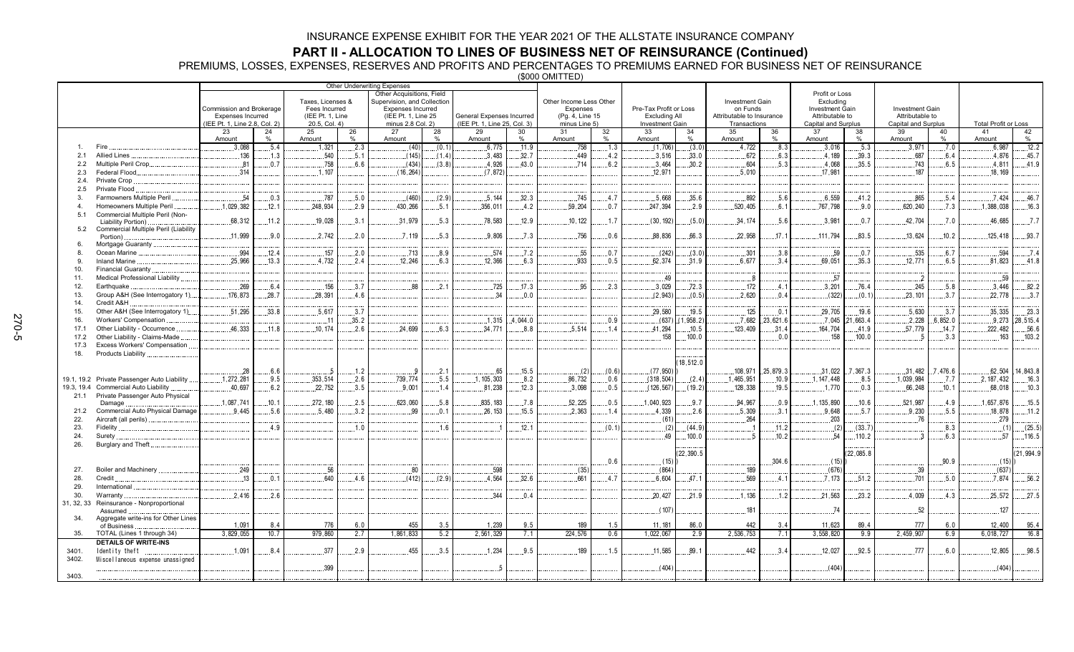**PART II - ALLOCATION TO LINES OF BUSINESS NET OF REINSURANCE (Continued)**<br>PREMIUMS, LOSSES, EXPENSES, RESERVES AND PROFITS AND PERCENTAGES TO PREMIUMS EARNED FOR BUSINESS NET OF REINSURANCE<br>———————————————————————————————

|                |                                      |                                                           |       |                                   |         | Other Underwriting Expenses              |               |                                                           |               |                                  |       |                                         |          |                                           |           |                                        |             |                                        |             |                             |                  |
|----------------|--------------------------------------|-----------------------------------------------------------|-------|-----------------------------------|---------|------------------------------------------|---------------|-----------------------------------------------------------|---------------|----------------------------------|-------|-----------------------------------------|----------|-------------------------------------------|-----------|----------------------------------------|-------------|----------------------------------------|-------------|-----------------------------|------------------|
|                |                                      |                                                           |       |                                   |         | Other Acquisitions, Field                |               |                                                           |               |                                  |       |                                         |          |                                           |           | Profit or Loss                         |             |                                        |             |                             |                  |
|                |                                      |                                                           |       | Taxes, Licenses &                 |         | Supervision, and Collection              |               |                                                           |               | Other Income Less Other          |       |                                         |          | Investment Gain                           |           | Excluding                              |             |                                        |             |                             |                  |
|                |                                      | Commission and Brokerage                                  |       | Fees Incurred                     |         | Expenses Incurred                        |               |                                                           |               | Expenses                         |       | Pre-Tax Profit or Loss                  |          | on Funds                                  |           | <b>Investment Gain</b>                 |             | Investment Gain                        |             |                             |                  |
|                |                                      | <b>Expenses Incurred</b><br>(IEE Pt. 1, Line 2.8, Col. 2) |       | (IEE Pt. 1, Line<br>20.5, Col. 4) |         | (IEE Pt. 1, Line 25<br>minus 2.8 Col. 2) |               | General Expenses Incurred<br>(IEE Pt. 1, Line 25, Col. 3) |               | (Pg. 4, Line 15<br>minus Line 5) |       | <b>Excluding All</b><br>Investment Gain |          | Attributable to Insurance<br>Transactions |           | Attributable to<br>Capital and Surplus |             | Attributable to<br>Capital and Surplus |             | <b>Total Profit or Loss</b> |                  |
|                |                                      | 23                                                        | 24    | 25                                | 26      | 27                                       | 28            | 29                                                        | 30            | 31                               | 32    | 33                                      | 34       | 35                                        | 36        | 37                                     | 38          | 39                                     | 40          | 41                          | 42               |
|                |                                      | Amount                                                    | %     | Amount                            | $\%$    | Amount                                   | $\frac{0}{0}$ | Amount                                                    | $\frac{0}{0}$ | Amount                           | $\%$  | Amount                                  | %        | Amount                                    | $\%$      | Amount                                 | %           | Amount                                 | $\%$        | Amount                      | $\%$             |
|                | Fire                                 | .3,088                                                    | .5.4  | .1.321                            | .2.3    | (40)                                     | (0.1)         | .6,775                                                    | .11.9         | .758                             | .1.3  | (1,706)                                 | (3.0)    | .4,722                                    | .8.3      | .3,016                                 | .5.3        | 3,971                                  | .7.0        | .6,987                      | .12.2            |
| 2.1            | <b>Allied Lines</b>                  | 136                                                       | .1.3  | .540                              | . 5 . 1 | (145)                                    | (1.4)         | .3.483                                                    | .32.7         | .449                             | .4.2  | .3,516                                  | .33.0    | .672                                      | 6.3       | 4.189                                  | .39.3       | .687                                   | .6.4        | .4.876                      | .45.7            |
| 2.2            | Multiple Peril Crop                  | .81                                                       | .0.7  | .758                              | 6.6     | (434)                                    | (3.8)         | 4.926                                                     | 43.0          | 714                              | 6.2   | 3.464                                   | .30.2    | .604                                      | .5.3      | .4,068                                 | .35.5       | .743                                   | .6.5        | .4.811                      | 41.9             |
| 2.3            | Federal Flood.                       | .314                                                      |       | .1.107                            |         | (16, 264)                                |               | (7.872)                                                   |               |                                  |       | .12.971                                 |          | .5,010                                    |           | .17.981                                |             | 187                                    |             | 18.169                      |                  |
| 2.4.           | Private Crop                         |                                                           |       |                                   |         |                                          |               |                                                           |               |                                  |       |                                         |          |                                           |           |                                        |             |                                        |             |                             |                  |
| 2.5            | Private Flood                        |                                                           |       |                                   |         |                                          |               |                                                           |               |                                  |       |                                         |          |                                           |           |                                        |             |                                        |             |                             |                  |
| 3.             | Farmowners Multiple Peril            | 54                                                        | .0.3  | .787                              | .5.0    | (460)                                    | (2.9)         | .5.144                                                    | 32.3          | .745                             | .4.7  | .5,668                                  | .35.6    | .892                                      | .5.6      | 6,559                                  | .41.2       | .865                                   | 5.4         | .7.424                      | 46.7             |
| $\overline{a}$ | Homeowners Multiple Peril            | .1,029,382                                                | .12.1 | .248,934                          | .2.9    | .430,266                                 | .5.1          | .356,011                                                  | .4.2          | .59,204                          | .0.7  | .247,394                                | .2.9     | .520,405                                  | 6.1       | .767,798                               | .9.0        | .620,240                               | 7.3         | .1,388,038                  | .16.3            |
| 5.1            | Commercial Multiple Peril (Non-      |                                                           |       |                                   |         |                                          |               |                                                           |               |                                  |       |                                         |          |                                           |           |                                        |             |                                        |             |                             |                  |
|                | Liability Portion).                  | 68.312                                                    | .11.2 | .19,028                           | 3.1     | .31,979                                  | .5.3          | .78.583                                                   | .12.9         | .10, 122                         | .1.7  | (30, 192)                               | (5.0)    | .34, 174                                  | .5.6      | .3,981                                 | .0.7        | 42.704                                 | $\dots 7.0$ | 46.685                      | .7.7             |
| 5.2            | Commercial Multiple Peril (Liability | 11,999                                                    | .9.0  | .2,742                            | .2.0    | .7.119                                   | .5.3          | .9.806                                                    | .7.3          | .756                             | 0.6   | .88,836                                 | 66.3     | 22,958                                    | 17.1      | .111,794                               | 83.5        | .13,624                                | .10.2       | 125,418                     | .93.7            |
|                | Portion)<br>Mortgage Guaranty.       |                                                           |       |                                   |         |                                          |               |                                                           |               |                                  |       |                                         |          |                                           |           |                                        |             |                                        |             |                             |                  |
| $\mathbf{a}$   | Ocean Marine                         | .994                                                      | .12.4 | .157                              | .2.0    | .713                                     | .8.9          | .574                                                      | .7.2          | .55                              | .0.7  | (242)                                   | (3.0)    | .301                                      | .3.8      | .59                                    | .0.7        | .535                                   | .6.7        | .594                        | .7.4             |
| $\mathbf{q}$   | <b>Inland Marine</b>                 | .25,966                                                   | .13.3 | 4,732                             | 2.4     | .12.246                                  | 6.3           | 12,366                                                    | 6.3           | 933                              | 0.5   | .62,374                                 | .31.9    | .6,677                                    | 3.4       | .69.051                                | 35.3        | .12, 771                               | 6.5         | 81,823                      | .41.8            |
| 10.            | Financial Guaranty                   |                                                           |       |                                   |         |                                          |               |                                                           |               |                                  |       |                                         |          |                                           |           |                                        |             |                                        |             |                             |                  |
| 11.            | Medical Professional Liability.      |                                                           |       |                                   |         |                                          |               |                                                           |               |                                  |       | 49                                      |          | . . 8                                     |           | .57                                    |             |                                        |             | .59                         |                  |
| 12.            | Earthquake.                          | 269                                                       | 6.4   | .156                              | 3.7     | .88                                      | 2.1           | .725                                                      | 17.3          | 95                               | .2.3  | 3,029                                   | .72.3    | .172                                      | .4.1      | .3,201                                 | .76.4       | .245                                   | .5.8        | 3,446                       | 82.2             |
| 13.            | Group A&H (See Interrogatory 1)      | .176.873                                                  | 28.7  | 28.391                            | 4.6     |                                          |               | 34                                                        | 0.0           |                                  |       | (2.943)                                 | (0.5)    | .2.620                                    | 0.4       | (322)                                  | (0.1)       | 23.101                                 | 3.7         | 22.778                      | .3.7             |
| 14.            | Credit A&H                           |                                                           |       |                                   |         |                                          |               |                                                           |               |                                  |       |                                         |          |                                           |           |                                        |             |                                        |             |                             |                  |
| 15.            | Other A&H (See Interrogatory 1)      | .51.295                                                   | 33.8  | .5.617                            | 3.7     |                                          |               |                                                           |               |                                  |       | .29.580                                 | .19.5    | .125                                      | .0.1      | .29,705                                | .19.6       | 5.630                                  | .3.7        | 35,335                      | .23.3            |
| 16.            | Workers' Compensation                |                                                           |       | . . 11                            | .35.2   |                                          |               | .1.315                                                    | 4.044.0       |                                  | 0.9   | (637)                                   | ,958.2)  | 7,682                                     | .23,621.6 | .7.045                                 | 21,663.4    | .2,228                                 | .6,852.0    | .9.273                      | .28,515.4        |
| 17.1           | Other Liability - Occurrence         | 46.333                                                    | .11.8 | .10.174                           | 2.6     | 24.699                                   | 6.3           | .34.771                                                   | 8.8           | 5.514                            | 1.4   | .41,294                                 | .10.5    | 123.409                                   | .31.4     | 164,704                                | 41.9        | .57,779                                | .14.7       | 222.482                     | .56.6            |
| 17.2           | Other Liability - Claims-Made        |                                                           |       |                                   |         |                                          |               |                                                           |               |                                  |       | 158                                     | .100.0   |                                           | 0.0       | 158                                    | 100.0       |                                        | .3.3        | 163                         | .103.2           |
| 17.3           | <b>Excess Workers' Compensation</b>  |                                                           |       |                                   |         |                                          |               |                                                           |               |                                  |       |                                         |          |                                           |           |                                        |             |                                        |             |                             |                  |
| 18.            | Products Liability                   |                                                           |       |                                   |         |                                          |               |                                                           |               |                                  |       |                                         |          |                                           |           |                                        |             |                                        |             |                             |                  |
|                |                                      |                                                           |       |                                   |         |                                          |               |                                                           |               |                                  |       |                                         | 18,512.0 |                                           |           |                                        |             |                                        |             |                             |                  |
|                |                                      | .28                                                       | .6.6  |                                   | 1.2     |                                          | .2.1          | .65                                                       | .15.5         | $\dots(2)$                       | (0.6) | (77, 950)                               |          | .108,971                                  | .25,879.3 | .31,022                                | 7,367.3     | .31,482                                | 7,476.6     |                             | 62,504 .14,843.8 |
| 19.1, 19.2     | Private Passenger Auto Liability     | .1,272,281                                                | .9.5  | .353,514                          | .2.6    | .739,774                                 | .5.5          | .1, 105, 303                                              | .8.2          | .86,732                          | .0.6  | (318, 504)                              | (2.4)    | .1,465,951                                | .10.9     | .1.147.448                             | .8.5        | .1.039.984                             | 7.7         | .2.187.432                  | .16.3            |
| 19.3, 19.4     | <b>Commercial Auto Liability</b>     | .40,697                                                   | .6.2  | .22,752                           | .3.5    | .9,001                                   | .1.4          | .81,238                                                   | .12.3         | .3.098                           | .0.5  | (126, 567)                              | (19.2)   | .128,338                                  | .19.5     | .1,770                                 | .0.3        | .66,248                                | .10.1       | 68,018                      | .10.3            |
| 21.1           | Private Passenger Auto Physical      |                                                           |       |                                   |         |                                          |               |                                                           |               |                                  |       |                                         |          |                                           |           |                                        |             |                                        |             |                             |                  |
|                | Damage                               | .1.087.741                                                | .10.1 | 272, 180                          | .2.5    | .623,060                                 | .5.8          | 835, 183                                                  | .7.8          | 52,225                           | .0.5  | 1,040,923                               | .9.7     | 94,967                                    | 0.9       | 1, 135, 890                            | 10.6        | .521,987                               | .4.9        | .1,657,876                  | .15.5            |
| 21.2           | Commercial Auto Physical Damage      | 9.445                                                     | .5.6  | 5.480                             | .3.2    | 99                                       | 0.1           | .26, 153                                                  | .15.5         | 2.363                            | 1.4   | 4,339                                   | .2.6     | .5,309                                    | 3.1       | .9.648                                 | .5.7        | .9.230                                 | .5.5        | 18.878                      | .11.2            |
| 22.            | Aircraft (all perils)                |                                                           |       |                                   |         |                                          |               |                                                           |               |                                  |       | (61)                                    |          | .264                                      |           | .203                                   |             | .76                                    |             | 279                         |                  |
| 23.            | <b>Fidelity</b>                      |                                                           | 4.9   |                                   | 1.0     |                                          | .1.6          |                                                           | 12.1          |                                  | (0.1) | (2)                                     | (44.9)   |                                           | .11.2     | (2)                                    | (33.7)      |                                        | .8.3        | (1)                         | (25.5)           |
| 24.            | Surety                               |                                                           |       |                                   |         |                                          |               |                                                           |               |                                  |       | 49                                      | 100.0    |                                           | .10.2     | .54                                    | .110.2      |                                        | .6.3        | .57                         | 116.5            |
| 26.            | Burglary and Theft.                  |                                                           |       |                                   |         |                                          |               |                                                           |               |                                  |       |                                         | 22,390.5 |                                           |           |                                        | (22, 085.8) |                                        |             |                             | (21, 994.9)      |
|                |                                      |                                                           |       |                                   |         |                                          |               |                                                           |               |                                  |       |                                         |          |                                           |           |                                        |             |                                        |             |                             |                  |
| 27.            | <b>Boiler and Machinery</b>          | .249                                                      |       | .56                               |         | .80                                      |               | .598                                                      |               | (35)                             | 0.6   | (15)<br>(864)                           |          | .189                                      | .304.6    | (15)<br>(676)                          |             | .39                                    | .90.9       | (15)<br>(637)               |                  |
| 28.            | Credit                               | 13                                                        | .0.1  | 640                               | .4.6    | (412)                                    | (2.9)         | 4.564                                                     | 32.6          | .661                             | .4.7  | .6,604                                  | .47.1    | .569                                      | .4.1      | .7.173                                 | .51.2       | .701                                   | .5.0        | 7.874                       | .56.2            |
| 29.            | International                        |                                                           |       |                                   |         |                                          |               |                                                           |               |                                  |       |                                         |          |                                           |           |                                        |             |                                        |             |                             |                  |
| 30.            | Warranty                             | 2.416                                                     | 2.6   |                                   |         |                                          |               | 344                                                       | 0.4           |                                  |       | 20.427                                  | .21.9    | 1.136                                     | .1.2      | 21,563                                 | 23.2        | 4.009                                  | 4.3         | 25.572                      | 27.5             |
| 31, 32, 33     | Reinsurance - Nonproportional        |                                                           |       |                                   |         |                                          |               |                                                           |               |                                  |       |                                         |          |                                           |           |                                        |             |                                        |             |                             |                  |
|                | Assumed                              |                                                           |       |                                   |         |                                          |               |                                                           |               |                                  |       | (107)                                   |          | 181                                       |           | 74                                     |             | 52                                     |             | 127                         |                  |
| 34.            | Aggregate write-ins for Other Lines  |                                                           |       |                                   |         |                                          |               |                                                           |               |                                  |       |                                         |          |                                           |           |                                        |             |                                        |             |                             |                  |
|                | of Business                          | 1,091                                                     | 8.4   | 776                               | 6.0     | 455                                      | 3.5           | 1,239                                                     | 9.5           | 189                              | 1.5   | 11, 181                                 | 86.0     | 442                                       | 3.4       | 11,623                                 | 89.4        | 777                                    | 6.0         | 12,400                      | 95.4             |
| 35.            | TOTAL (Lines 1 through 34)           | 3,829,055                                                 | 10.7  | 979,860                           | 2.7     | 1,861,833                                | 5.2           | 2,561,329                                                 | 7.1           | 224,576                          | 0.6   | 1,022,067                               | 2.9      | 2,536,753                                 | 7.1       | 3,558,820                              | 9.9         | 2,459,907                              | 6.9         | 6,018,727                   | 16.8             |
|                | <b>DETAILS OF WRITE-INS</b>          |                                                           |       |                                   |         |                                          |               |                                                           |               |                                  |       |                                         |          |                                           |           |                                        |             |                                        |             |                             |                  |
| 3401.          | Identity theft                       | .1.091                                                    | .8.4  | .377                              | .2.9    | 455                                      | .3.5          | 1,234                                                     | .9.5          | .189                             | .1.5  | .11.585                                 | .89.1    | .442                                      | .3.4      | .12,027                                | .92.5       | .777                                   | .6.0        | 12,805                      | 98.5             |
| 3402.          | Miscellaneous expense unassigned     |                                                           |       |                                   |         |                                          |               |                                                           |               |                                  |       |                                         |          |                                           |           |                                        |             |                                        |             |                             |                  |
|                |                                      |                                                           |       | .399                              |         |                                          |               | $\overline{5}$                                            |               |                                  |       | (404)                                   |          |                                           |           | (404)                                  |             |                                        |             | (404)                       |                  |
| 3403.          |                                      |                                                           |       |                                   |         |                                          |               |                                                           |               |                                  |       |                                         |          |                                           |           |                                        |             |                                        |             |                             |                  |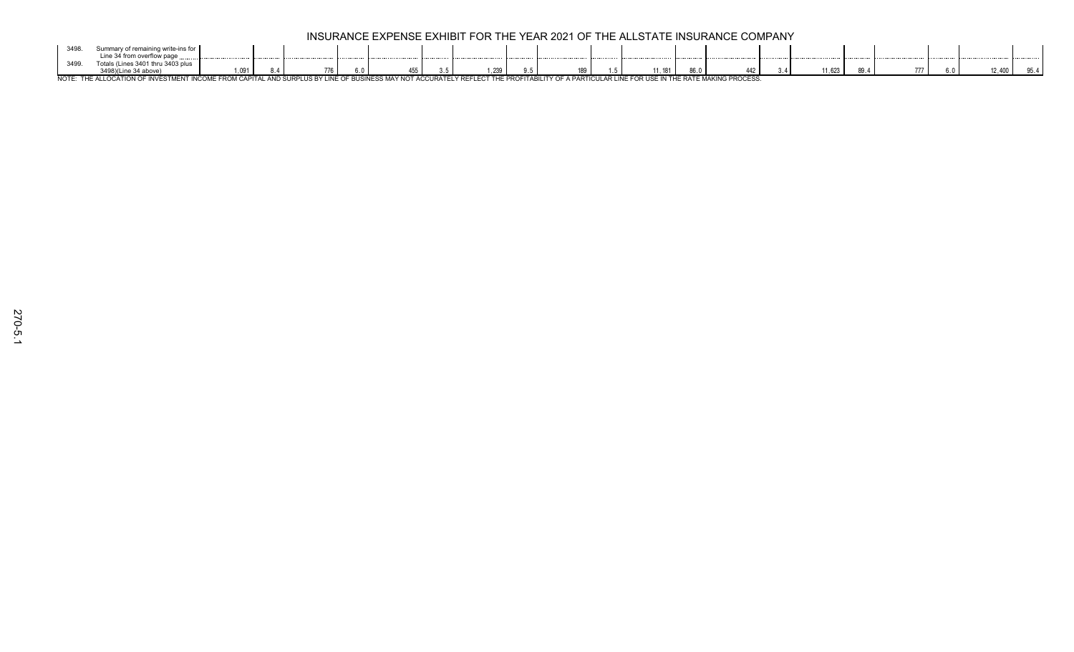| ノー・ソー |                                                |                               |             |  |                                     |       |               |                  |        |      |                               |        |  |  |      |
|-------|------------------------------------------------|-------------------------------|-------------|--|-------------------------------------|-------|---------------|------------------|--------|------|-------------------------------|--------|--|--|------|
|       | Line 34 from overflow page                     |                               |             |  |                                     |       |               |                  |        |      |                               |        |  |  |      |
|       | $i$ nos 3401 this<br>$\ldots$ 2400             |                               |             |  |                                     |       |               |                  |        |      |                               |        |  |  |      |
|       |                                                | ,091                          | $\cdot$ .   |  | <b>v.v</b>                          | 1,239 |               | 189              | l. 181 | 86.0 | 112                           | 11,623 |  |  | 3J.4 |
| NOTE: | <b>ICCTME'</b><br>THE ALLOCATION OF INVESTMENT | $\bigcap$ $\bigcap$ $\bigcap$ | <b>ANIE</b> |  | ACCURATELY DEI<br><b>AUUUNAILLI</b> |       | . ICITA DII 1 | <b>A DADTICI</b> |        |      | <b>E RATE MAKING PROCESS.</b> |        |  |  |      |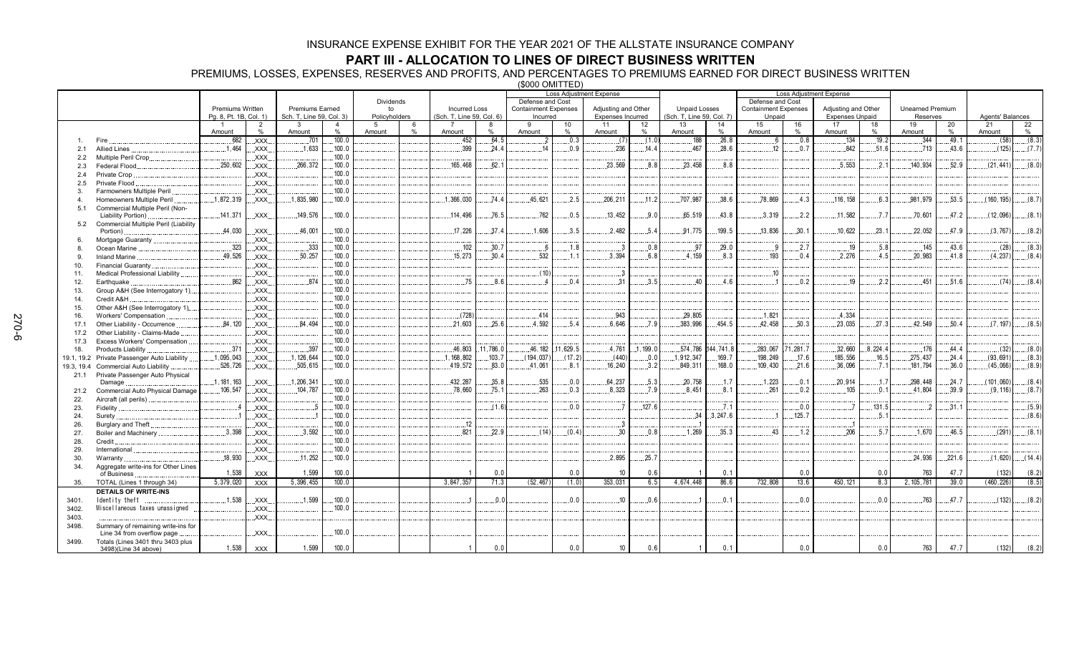## **PART III - ALLOCATION TO LINES OF DIRECT BUSINESS WRITTEN**

PREMIUMS, LOSSES, EXPENSES, RESERVES AND PROFITS, AND PERCENTAGES TO PREMIUMS EARNED FOR DIRECT BUSINESS WRITTEN

(\$000 OMITTED)

|               |                                                       |                        |                        |                          |                     |               |           |                           |          |                             |                    | Loss Adjustment Expense  |          |                           |          |                             |         | <b>Loss Adjustment Expense</b> |          |                         |                     |                  |         |
|---------------|-------------------------------------------------------|------------------------|------------------------|--------------------------|---------------------|---------------|-----------|---------------------------|----------|-----------------------------|--------------------|--------------------------|----------|---------------------------|----------|-----------------------------|---------|--------------------------------|----------|-------------------------|---------------------|------------------|---------|
|               |                                                       |                        |                        |                          |                     | Dividends     |           |                           |          | Defense and Cost            |                    |                          |          |                           |          | Defense and Cost            |         |                                |          |                         |                     |                  |         |
|               |                                                       | Premiums Written       |                        | <b>Premiums Earned</b>   |                     | to            |           | <b>Incurred Loss</b>      |          | <b>Containment Expenses</b> |                    | Adjusting and Other      |          | <b>Unpaid Losses</b>      |          | <b>Containment Expenses</b> |         | Adjusting and Other            |          | <b>Unearned Premium</b> |                     |                  |         |
|               |                                                       | Pg. 8, Pt. 1B, Col. 1) |                        | Sch. T, Line 59, Col. 3) |                     | Policyholders |           | (Sch. T, Line 59, Col. 6) |          | Incurred                    |                    | <b>Expenses Incurred</b> |          | (Sch. T, Line 59, Col. 7) |          | Unpaid                      |         | <b>Expenses Unpaid</b>         |          | Reserves                |                     | Agents' Balances |         |
|               |                                                       |                        | $\overline{2}$<br>$\%$ | 3<br>Amount              | $\overline{4}$<br>% | 5             | 6<br>$\%$ |                           | %        | Q                           | 10<br>%            | 11                       | 12<br>%  | 13                        | 14<br>%  | 15                          | 16<br>% | 17<br>Amount                   | 18<br>%  | 19<br>Amount            | 20<br>$\frac{0}{0}$ | 21<br>Amount     | 22<br>% |
|               | Fire                                                  | Amount<br>.682         | XXX.                   | .701                     | .100.0              | Amount        |           | Amount<br>.452            | .64.5    | Amount<br>$\overline{2}$    | .0.3               | Amount<br>(7)            | (1.0)    | Amount<br>188             | .26.8    | Amount<br>6                 | 0.8     | .134                           | .19.2    | 344                     | .49.1               | (58)             | (8.3)   |
|               |                                                       | .1.464                 |                        | 1.633                    | .100.0              |               |           | .399                      | 24.4     | 14                          | .0.9               | .236                     | 14.4     | 467                       | .28.6    | 12                          | .0.7    | 842                            | 51.6     | .713                    | 43.6                | (125)            | (7.7)   |
| 2.1           | <b>Allied Lines</b>                                   |                        | XXX.                   |                          | .100.0              |               |           |                           |          |                             |                    |                          |          |                           |          |                             |         |                                |          |                         |                     |                  |         |
| $2.2^{\circ}$ | Multiple Peril Crop.<br>Federal Flood.                | .250,602               | XXX.<br>XXX.           | 266.372                  | .100.0              |               |           | 165.468                   | 62.1     |                             |                    | 23.569                   | 8.8      | 23.458                    | 8.8      |                             |         | .5.553                         | .2.1     | 140.934                 | 52.9                | (21, 441)        | (8.0)   |
| 2.3           |                                                       |                        |                        |                          | .100.0              |               |           |                           |          |                             |                    |                          |          |                           |          |                             |         |                                |          |                         |                     |                  |         |
| 2.4           | Private Crop<br>Private Flood                         |                        | XXX.<br>XXX.           |                          | 100.0               |               |           |                           |          |                             |                    |                          |          |                           |          |                             |         |                                |          |                         |                     |                  |         |
| 2.5<br>3.     | Farmowners Multiple Peril                             |                        | XXX                    |                          | 100.0               |               |           |                           |          |                             |                    |                          |          |                           |          |                             |         |                                |          |                         |                     |                  |         |
|               |                                                       | .1,872,319             |                        | .1,835,980               | .100.0              |               |           |                           | .74.4    | 45,621                      | .2.5               | 206,211                  | .11.2    | .707,987                  | .38.6    | .78,869                     | .4.3    | .116, 158                      | 6.3      | .981,979                | .53.5               | (160, 195)       | (8.7)   |
| 4             | Homeowners Multiple Peril                             |                        | XXX.                   |                          |                     |               |           | 1,366,030                 |          |                             |                    |                          |          |                           |          |                             |         |                                |          |                         |                     |                  |         |
| 5.1           | Commercial Multiple Peril (Non-<br>Liability Portion) | .141.371               | XXX.                   | 149,576                  | .100.0              |               |           | 114,496                   | 76.5     | .762                        | 0.5                | 13,452                   | 9.0      | 65,519                    | .43.8    | .3.319                      | 2.2     | .11.582                        | 7.7      | 70,601                  | .47.2               | (12,096)         | (8.1)   |
| 5.2           | Commercial Multiple Peril (Liability                  |                        |                        |                          |                     |               |           |                           |          |                             |                    |                          |          |                           |          |                             |         |                                |          |                         |                     |                  |         |
|               | Portion)                                              | .44,030                | XXX.                   | .46,001                  | .100.0              |               |           | .17,226                   | .37.4    | .1,606                      | 3.5                | .2,482                   | .5.4     | 91.775                    | .199.5   | .13,836                     | .30.1   | .10,622                        | .23.1    | 22,052                  | .47.9               | (3,767)          | (8.2)   |
| 6.            | Mortgage Guaranty                                     |                        | XXX.                   |                          | .100.0              |               |           |                           |          |                             |                    |                          |          |                           |          |                             |         |                                |          |                         |                     |                  |         |
| 8.            | Ocean Marine                                          | .323                   | XXX.                   | .333                     | .100.0              |               |           | 102                       | 30.7     | 6                           | .1.8               | . 3                      | 0.8      | .97                       | .29.0    | -9                          | .2.7    | .19                            | 5.8      | 145                     | 43.6                | (28)             | (8.3)   |
| 9.            | <b>Inland Marine</b>                                  | .49,526                | XXX.                   | .50,257                  | .100.0              |               |           | .15,273                   | 30.4     | 532                         | .1.1               | .3,394                   | 6.8      | 4.159                     | .8.3     | .193                        | .0.4    | .2,276                         | .4.5     | .20,983                 | .41.8               | (4, 237)         | (8.4)   |
| 10.           | Financial Guaranty                                    |                        | XXX                    |                          | .100.0              |               |           |                           |          |                             |                    |                          |          |                           |          |                             |         |                                |          |                         |                     |                  |         |
| 11.           | <b>Medical Professional Liability</b>                 |                        | XXX.                   |                          | 100.0               |               |           |                           |          | (10)                        |                    | . 3                      |          |                           |          | .10                         |         |                                |          |                         |                     |                  |         |
| 12.           | Earthquake                                            | .862                   | XXX.                   | .874                     | .100.0              |               |           | .75                       | .8.6     |                             | .0.4               | .31                      | .3.5     | 40                        | .4.6     |                             | .0.2    | .19                            | .2.2     | .451                    | .51.6               | (74)             | (8.4)   |
| 13.           | Group A&H (See Interrogatory 1)                       |                        | XXX.                   |                          | .100.0              |               |           |                           |          |                             |                    |                          |          |                           |          |                             |         |                                |          |                         |                     |                  |         |
| 14.           | Credit A&H                                            |                        | .XXX.                  |                          | .100.0              |               |           |                           |          |                             |                    |                          |          |                           |          |                             |         |                                |          |                         |                     |                  |         |
| 15.           | Other A&H (See Interrogatory 1)                       |                        | XXX.                   |                          | .100.0              |               |           |                           |          |                             |                    |                          |          |                           |          |                             |         |                                |          |                         |                     |                  |         |
| 16.           | Workers' Compensation                                 |                        | XXX.                   |                          | .100.0              |               |           | (728)                     |          | 414                         |                    | .943                     |          | 29.805                    |          | .1,821                      |         | .4.334                         |          |                         |                     |                  |         |
| 17.1          | Other Liability - Occurrence                          | .84,120                | XXX.                   | 84.494                   | .100.0              |               |           | .21,603                   | 25.6     | 4.592                       | 5.4                | 6.646                    | .7.9     | 383.996                   | 454.5    | 42.458                      | 50.3    | 23.035                         | 27.3     | .42,549                 | 50.4                | (7.197)          | (8.5)   |
| 17.2          | Other Liability - Claims-Made                         |                        | XXX.                   |                          | .100.0              |               |           |                           |          |                             |                    |                          |          |                           |          |                             |         |                                |          |                         |                     |                  |         |
| 17.3          | Excess Workers' Compensation                          |                        | <b>XXX</b>             |                          | .100.0              |               |           |                           |          |                             |                    |                          |          |                           |          |                             |         |                                |          |                         |                     |                  |         |
| 18.           | Products Liability.                                   | .371                   | XXX.                   | .397                     | .100.0              |               |           | 46,803                    | 11,786.0 |                             | 46, 182 .11, 629.5 | .4,761                   | .1,199.0 | .574,786                  | 44,741.8 | .283,067                    | 1,281.7 | .32,660                        | .8,224.4 | 176                     | .44.4               | (32)             | (8.0)   |
|               | 19.1, 19.2 Private Passenger Auto Liability           | .1,095,043             | XXX.                   | .1, 126, 644             | .100.0              |               |           | , 168, 802                | .103.7   | (194, 037)                  | (17.2)             | (440)                    | .0.0     | 1,912,347                 | .169.7   | 198,249                     | .17.6   | 185,556                        | .16.5    | .275,437                | .24.4               | (93, 691)        | (8.3)   |
| 19.3, 19.4    | <b>Commercial Auto Liability</b>                      | .526,726               | XXX.                   | .505,615                 | .100.0              |               |           | 419,572                   | .83.0    | .41,061                     | .8.1               | 16.240                   | .3.2     | .849,311                  | .168.0   | 109,430                     | .21.6   | 36.096                         | . 7.1    | .181,794                | .36.0               | (45,066)         | (8.9)   |
|               | 21.1 Private Passenger Auto Physical                  |                        |                        |                          |                     |               |           |                           |          |                             |                    |                          |          |                           |          |                             |         |                                |          |                         |                     |                  |         |
|               | Damage                                                | .1, 181, 163           | XXX.                   | 1,206,341                | .100.0              |               |           | 432.287                   | 35.8     | .535                        | .0.0               | .64,237                  | .5.3     | 20.758                    | .1.7     | .1,223                      | .0.1    | 20.914                         | .1.7     | 298.448                 | .24.7               | (101.060)        | (8.4)   |
| 21.2          | Commercial Auto Physical Damage                       | .106,547               | XXX.                   | .104,787                 | .100.0              |               |           | .78.660                   | .75.1    | .263                        | .0.3               | .8.323                   | .7.9     | .8.451                    | .8.1     | .261                        | .0.2    | 105                            | .0.1     | .41,804                 | .39.9               | (9, 116)         | (8.7)   |
| 22.           | Aircraft (all perils)                                 |                        | XXX.                   |                          | .100.0              |               |           |                           |          |                             |                    |                          |          |                           |          |                             |         |                                |          |                         |                     |                  |         |
| 23.           | Fidelity                                              |                        | XXX.                   |                          | .100.0              |               |           |                           | (1.6)    |                             | .0.0               |                          | .127.6   |                           | .7.1     |                             | 0.0     |                                | 131.5    |                         | .31.1               |                  | (5.9)   |
| 24.           | Surety.                                               |                        | XXX.                   |                          | .100.0              |               |           |                           |          |                             |                    |                          |          | 34                        | 3,247.6  |                             | .125.7  |                                | .5.1     |                         |                     |                  | (8.6)   |
| 26.           | Burglary and Theft                                    |                        | XXX.                   |                          | 100.0               |               |           | .12                       |          |                             |                    | . . 3                    |          |                           |          |                             |         |                                |          |                         |                     |                  |         |
| 27.           | Boiler and Machinery                                  | .3.398                 | XXX.                   | .3.592                   | .100.0              |               |           | 821                       | 22.9     | (14)                        | (0.4)              | .30                      | 0.8      | 1.269                     | 35.3     | 43                          | .1.2    | 206                            | .5.7     | .1.670                  | 46.5                | (291)            | (8.1)   |
| 28.           | Credit                                                |                        | XXX                    |                          | .100.0              |               |           |                           |          |                             |                    |                          |          |                           |          |                             |         |                                |          |                         |                     |                  |         |
| 29.           | International                                         |                        | <b>XXX</b>             |                          | .100.0              |               |           |                           |          |                             |                    |                          |          |                           |          |                             |         |                                |          |                         |                     |                  |         |
| 30.           | Warranty                                              | .18,930                | XXX.                   | 11,252                   | .100.0              |               |           |                           |          |                             |                    | .2,895                   | .25.7    |                           |          |                             |         |                                |          | 24,936                  | .221.6              | (1,620)          | (14.4)  |
| 34.           | Aggregate write-ins for Other Lines                   |                        |                        |                          |                     |               |           |                           |          |                             |                    |                          |          |                           |          |                             |         |                                |          |                         |                     |                  |         |
|               | of Business                                           | 1,538                  | <b>XXX</b>             | 1,599                    | 100.0               |               |           |                           | 0.0      |                             | 0.0                | 10                       | 0.6      |                           | 0.1      |                             | 0.0     |                                | 0.0      | 763                     | 47.7                | (132)            | (8.2)   |
| 35.           | TOTAL (Lines 1 through 34)                            | 5,379,020              | <b>XXX</b>             | 5,396,455                | 100.0               |               |           | 3,847,357                 | 71.3     | (52, 467)                   | (1.0)              | 353.031                  | 6.5      | 4,674,448                 | 86.6     | 732.808                     | 13.6    | 450.121                        | 8.3      | 2, 105, 781             | 39.0                | (460, 226)       | (8.5)   |
|               | <b>DETAILS OF WRITE-INS</b>                           |                        |                        |                          |                     |               |           |                           |          |                             |                    |                          |          |                           |          |                             |         |                                |          |                         |                     |                  |         |
| 3401          | Identity theft                                        | .1.538                 | XXX.                   | .1.599                   | .100.0              |               |           |                           | 0.0      |                             | 0.0                | .10                      | 0.6      |                           | .0.1     |                             | 0.0     |                                | 0.0      | 763                     | 47.7                | (132)            | (8.2)   |
| 3402.         | Miscellaneous taxes unassigned                        |                        | XXX.                   |                          | 100.0               |               |           |                           |          |                             |                    |                          |          |                           |          |                             |         |                                |          |                         |                     |                  |         |
| 3403.         |                                                       |                        | XXX.                   |                          |                     |               |           |                           |          |                             |                    |                          |          |                           |          |                             |         |                                |          |                         |                     |                  |         |
| 3498.         | Summary of remaining write-ins for                    |                        |                        |                          |                     |               |           |                           |          |                             |                    |                          |          |                           |          |                             |         |                                |          |                         |                     |                  |         |
|               | Line 34 from overflow page                            |                        | XXX.                   |                          | .100.0              |               |           |                           |          |                             |                    |                          |          |                           |          |                             |         |                                |          |                         |                     |                  |         |
| 3499.         | Totals (Lines 3401 thru 3403 plus                     |                        |                        |                          |                     |               |           |                           |          |                             |                    |                          |          |                           |          |                             |         |                                |          |                         |                     |                  |         |
|               | 3498)(Line 34 above)                                  | 1,538                  | <b>XXX</b>             | 1,599                    | 100.0               |               |           | $\mathbf{1}$              | 0.0      |                             | 0.0                | 10                       | 0.6      |                           | 0.1      |                             | 0.0     |                                | 0.0      | 763                     | 47.7                | (132)            | (8.2)   |
|               |                                                       |                        |                        |                          |                     |               |           |                           |          |                             |                    |                          |          |                           |          |                             |         |                                |          |                         |                     |                  |         |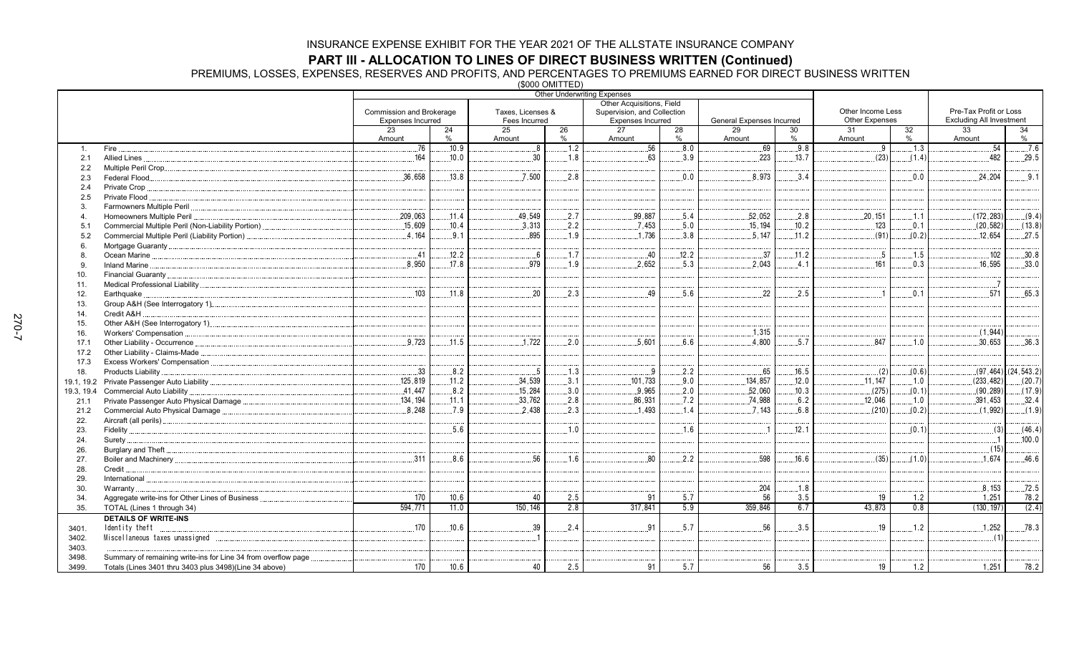**PART III - ALLOCATION TO LINES OF DIRECT BUSINESS WRITTEN (Continued)<br>PREMIUMS, LOSSES, EXPENSES, RESERVES AND PROFITS, AND PERCENTAGES TO PREMIUMS EARNED FOR DIRECT BUSINESS WRITTEN<br>(\$000 OMITTED)** 

|                |                                                                |                          |              |                   |      | <b>Other Underwriting Expenses</b>                       |       |                            |            |                       |                  |                                 |                         |
|----------------|----------------------------------------------------------------|--------------------------|--------------|-------------------|------|----------------------------------------------------------|-------|----------------------------|------------|-----------------------|------------------|---------------------------------|-------------------------|
|                |                                                                | Commission and Brokerage |              | Taxes, Licenses & |      | Other Acquisitions, Field<br>Supervision, and Collection |       |                            |            | Other Income Less     |                  | Pre-Tax Profit or Loss          |                         |
|                |                                                                | Expenses Incurred        |              | Fees Incurred     |      | <b>Expenses Incurred</b>                                 |       | General Expenses Incurred  |            | <b>Other Expenses</b> |                  | <b>Excluding All Investment</b> |                         |
|                |                                                                | 23                       | 24           | $\overline{25}$   | 26   | 27                                                       | 28    | 29                         | 30         | 31                    | 32               | 33                              | 34                      |
|                |                                                                | Amount                   | $\%$         | Amount            | $\%$ | Amount                                                   | $\%$  | Amount                     | %          | Amount                | %                | Amount                          | %                       |
| $\mathbf{1}$ . | Fire.                                                          | .76                      | 10.9         | 8 <sup>1</sup>    | .1.2 | $\overline{56}$                                          | 0.8   | .69                        | .9.8       | . .9                  | $\overline{1.3}$ | .54                             | .76                     |
| 2.1            | Allied Lines                                                   | 164                      | .10.0        | 30                | 1.8  | 63                                                       | 3.9   | .223                       | .13.7      | (23)                  | (1.4)            | .482                            | .29.5                   |
| 2.2            |                                                                |                          |              |                   |      |                                                          |       |                            |            |                       |                  |                                 |                         |
| 2.3            | Federal Flood                                                  | .36,658                  | .13.8        | .7.500            | .2.8 |                                                          | 0.0   | 8.973                      | 3.4        |                       | 0.0              | .24.204                         | .9.1                    |
| 2.4            | Private Crop.                                                  |                          |              |                   |      |                                                          |       |                            |            |                       |                  |                                 |                         |
| 2.5            | Private Flood                                                  |                          |              |                   |      |                                                          |       |                            |            |                       |                  |                                 |                         |
| 3              |                                                                |                          |              |                   |      |                                                          |       |                            |            |                       |                  |                                 |                         |
| 4              | Homeowners Multiple Peril.                                     | 209,063                  | .11.4        | .49,549           | 2.7  | 99,887                                                   | 5.4   | 52,052                     | .2.8       | .20, 151              | .1.1             | (172, 283)                      | (9.4)                   |
| 5.1            |                                                                | .15.609                  | .10.4        | .3.313            | .2.2 | .7,453                                                   | .5.0  | .15, 194                   | .10.2      | 123                   | .0.1             | (20, 582)                       | (13.8)                  |
| 5.2            | Commercial Multiple Peril (Liability Portion)                  | 4.164                    | 9.1          | 895               | 1.9  | .1,736                                                   | 3.8   | .5.147                     | .11.2      | (91)                  | (0.2)            | 12.654                          | .27.5                   |
| 6              |                                                                |                          |              |                   |      |                                                          |       |                            |            |                       |                  |                                 |                         |
| 8              | Ocean Marine                                                   | .41                      | .12.2        | $6 \ldots$        | .1.7 | .40                                                      | .12.2 | .37                        | .11.2      | .5                    | .1.5             | .102                            | .30.8                   |
| 9              |                                                                | 8.950                    | 17.8         | 979               | 1.9  | .2.652                                                   | 5.3   | 2.043                      | .4.1       | 161                   | 0.3              | .16.595                         | .33.0                   |
| 10.            |                                                                |                          |              |                   |      |                                                          |       |                            |            |                       |                  |                                 |                         |
| 11.            |                                                                |                          |              |                   |      |                                                          |       |                            |            |                       |                  |                                 |                         |
| 12.            | Earthquake.                                                    | .103                     | .11.8        | 20                | .2.3 | .49                                                      | .5.6  | 22                         | .2.5       | $\overline{1}$        | 0.1              | .571                            | .65.3                   |
| 13.            |                                                                |                          |              |                   |      |                                                          |       |                            |            |                       |                  |                                 |                         |
| 14.            | Credit A&H                                                     |                          |              |                   |      |                                                          |       |                            |            |                       |                  |                                 |                         |
| 15.            |                                                                |                          |              |                   |      |                                                          |       |                            |            |                       |                  |                                 |                         |
| 16.            | Workers' Compensation                                          |                          |              |                   |      |                                                          |       | 1,315                      |            |                       |                  | (1,944)                         |                         |
| 17.1           | Other Liability - Occurrence                                   | .9.723                   | .11.5        | .1,722            | .2.0 | .5,601                                                   | 6.6   | 4.800                      | .5.7       | 847                   | .1.0             | .30,653                         | .36.3                   |
| 17.2           | Other Liability - Claims-Made                                  |                          |              |                   |      |                                                          |       |                            |            |                       |                  |                                 |                         |
| 17.3           |                                                                |                          |              |                   |      |                                                          |       |                            |            |                       |                  |                                 |                         |
| 18.            | Products Liability                                             | .33                      | .8.2         | $.5\,$            | .1.3 | .9                                                       | .2.2  | .65                        | 16.5       | $\ldots$ (2)          | (0.6)            |                                 | $(97, 464)$ (24, 543.2) |
|                |                                                                | 125.819                  | .11.2        | .34,539           | .3.1 | .101,733                                                 | 9.0   | .134,857                   | .12.0      | .11.147               | .1.0             | (233.482)                       | (20.7)                  |
| 19.3, 19.4     | Commercial Auto Liability                                      | .41,447                  | .8.2         | .15,284           | .3.0 | .9,965                                                   | .2.0  | .52,060                    | .10.3      | (275)                 | (0.1)            | (90, 289)                       | (17.9)                  |
| 21.1           |                                                                | .134, 194                | .11.1        | .33,762           | .2.8 | .86,931                                                  | .7.2  | .74,988                    | .6.2       | .12,046               | .1.0             | .391,453                        | .32.4                   |
| 21.2           | Commercial Auto Physical Damage                                | 8.248                    | .7.9         | 2.438             | 2.3  | .1.493                                                   | .1.4  | .7.143                     | 6.8        | (210)                 | (0.2)            | (1.992)                         | (1.9)                   |
| 22.            |                                                                |                          |              |                   |      |                                                          |       |                            |            |                       |                  |                                 |                         |
| 23.            |                                                                |                          | 5.6          |                   | 1.0  |                                                          | 1.6   | $\overline{\phantom{0}}$ 1 | 12.1       |                       | (0.1)            | (3)                             | (46.4)                  |
| 24.            |                                                                |                          |              |                   |      |                                                          |       |                            |            |                       |                  | (15)                            | .100.0                  |
| 26.            |                                                                | 311                      | 8.6          | 56                | 1.6  | 80                                                       | 2.2   | 598                        | 16.6       | (35)                  | (1.0)            | 1.674                           | .46.6                   |
| 27.            |                                                                |                          |              |                   |      |                                                          |       |                            |            |                       |                  |                                 |                         |
| 28.            | Credit.                                                        |                          |              |                   |      |                                                          |       |                            |            |                       |                  |                                 |                         |
| 29.            | International.                                                 |                          |              |                   |      |                                                          |       | .204                       |            |                       |                  | 8,153                           | .72.5                   |
| 30.            | Warranty.                                                      |                          |              |                   | 2.5  |                                                          | 5.7   |                            | .1.8       |                       |                  |                                 |                         |
| 34.            |                                                                | 170<br>594,771           | 10.6<br>11.0 | 40<br>150, 146    | 2.8  | 91<br>317,841                                            | 5.9   | 56<br>359,846              | 3.5<br>6.7 | 19<br>43,873          | 1.2<br>0.8       | 1,251<br>(130, 197)             | 78.2<br>(2.4)           |
| 35.            | TOTAL (Lines 1 through 34)                                     |                          |              |                   |      |                                                          |       |                            |            |                       |                  |                                 |                         |
|                | <b>DETAILS OF WRITE-INS</b>                                    |                          |              |                   |      |                                                          | .5.7  | 56                         |            |                       |                  |                                 |                         |
| 3401.          | Identity theft                                                 | .170                     | 10.6         | 39                | 2.4  | 91                                                       |       |                            | .3.5       | 19                    | .1.2             | .1,252                          | .78.3                   |
| 3402.          |                                                                |                          |              |                   |      |                                                          |       |                            |            |                       |                  | (1)                             |                         |
| 3403.          |                                                                |                          |              |                   |      |                                                          |       |                            |            |                       |                  |                                 |                         |
| 3498.          | Summary of remaining write-ins for Line 34 from overflow page. |                          |              |                   |      |                                                          |       |                            |            |                       |                  |                                 |                         |
| 3499.          | Totals (Lines 3401 thru 3403 plus 3498)(Line 34 above)         | 170                      | 10.6         | 40                | 2.5  | 91                                                       | 5.7   | 56                         | 3.5        | 19                    | 1.2              | 1,251                           | 78.2                    |